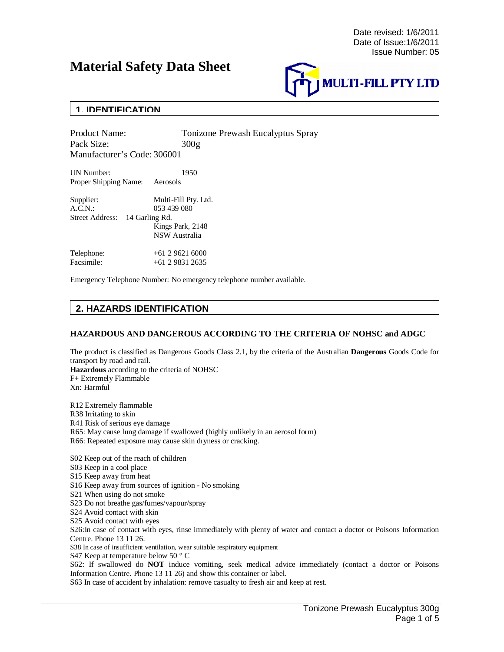# **Material Safety Data Sheet**



## **1. IDENTIFICATION**

Product Name: Tonizone Prewash Eucalyptus Spray Pack Size: 300g Manufacturer's Code: 306001

UN Number: 1950 Proper Shipping Name: Aerosols

| Supplier:                      | Multi-Fill Pty. Ltd. |
|--------------------------------|----------------------|
| A.C.N.                         | 053 439 080          |
| Street Address: 14 Garling Rd. |                      |
|                                | Kings Park, 2148     |
|                                | <b>NSW</b> Australia |
| Telephone:                     | $+61296216000$       |
| Facsimile:                     | $+61$ 2 9831 2635    |

Emergency Telephone Number: No emergency telephone number available.

# **2. HAZARDS IDENTIFICATION**

### **HAZARDOUS AND DANGEROUS ACCORDING TO THE CRITERIA OF NOHSC and ADGC**

The product is classified as Dangerous Goods Class 2.1, by the criteria of the Australian **Dangerous** Goods Code for transport by road and rail. **Hazardous** according to the criteria of NOHSC

F+ Extremely Flammable Xn: Harmful

R12 Extremely flammable R38 Irritating to skin R41 Risk of serious eye damage R65: May cause lung damage if swallowed (highly unlikely in an aerosol form) R66: Repeated exposure may cause skin dryness or cracking.

S02 Keep out of the reach of children S03 Keep in a cool place S15 Keep away from heat S16 Keep away from sources of ignition - No smoking S21 When using do not smoke S23 Do not breathe gas/fumes/vapour/spray S24 Avoid contact with skin S25 Avoid contact with eyes S26:In case of contact with eyes, rinse immediately with plenty of water and contact a doctor or Poisons Information Centre. Phone 13 11 26. S38 In case of insufficient ventilation, wear suitable respiratory equipment S47 Keep at temperature below 50 ° C S62: If swallowed do **NOT** induce vomiting, seek medical advice immediately (contact a doctor or Poisons Information Centre. Phone 13 11 26) and show this container or label.

S63 In case of accident by inhalation: remove casualty to fresh air and keep at rest.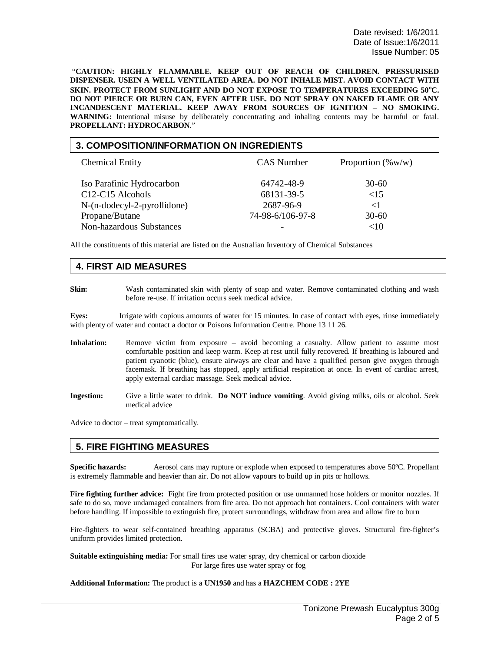"**CAUTION: HIGHLY FLAMMABLE. KEEP OUT OF REACH OF CHILDREN. PRESSURISED DISPENSER. USEIN A WELL VENTILATED AREA. DO NOT INHALE MIST. AVOID CONTACT WITH SKIN. PROTECT FROM SUNLIGHT AND DO NOT EXPOSE TO TEMPERATURES EXCEEDING 50**°**C. DO NOT PIERCE OR BURN CAN, EVEN AFTER USE. DO NOT SPRAY ON NAKED FLAME OR ANY INCANDESCENT MATERIAL. KEEP AWAY FROM SOURCES OF IGNITION – NO SMOKING. WARNING:** Intentional misuse by deliberately concentrating and inhaling contents may be harmful or fatal. **PROPELLANT: HYDROCARBON**."

### **3. COMPOSITION/INFORMATION ON INGREDIENTS**

| <b>Chemical Entity</b>                        | <b>CAS</b> Number        | Proportion $(\% w/w)$ |
|-----------------------------------------------|--------------------------|-----------------------|
| Iso Parafinic Hydrocarbon<br>C12-C15 Alcohols | 64742-48-9<br>68131-39-5 | $30-60$<br>${<}15$    |
| $N-(n-dodecyl-2-pyrollidone)$                 | 2687-96-9                | $\leq$ 1              |
| Propane/Butane                                | 74-98-6/106-97-8         | $30-60$               |
| Non-hazardous Substances                      | -                        | ${<}10$               |

All the constituents of this material are listed on the Australian Inventory of Chemical Substances

### **4. FIRST AID MEASURES**

**Skin:** Wash contaminated skin with plenty of soap and water. Remove contaminated clothing and wash before re-use. If irritation occurs seek medical advice.

**Eyes:** Irrigate with copious amounts of water for 15 minutes. In case of contact with eyes, rinse immediately with plenty of water and contact a doctor or Poisons Information Centre. Phone 13 11 26.

- Inhalation: Remove victim from exposure avoid becoming a casualty. Allow patient to assume most comfortable position and keep warm. Keep at rest until fully recovered. If breathing is laboured and patient cyanotic (blue), ensure airways are clear and have a qualified person give oxygen through facemask. If breathing has stopped, apply artificial respiration at once. In event of cardiac arrest, apply external cardiac massage. Seek medical advice.
- **Ingestion:** Give a little water to drink. **Do NOT induce vomiting**. Avoid giving milks, oils or alcohol. Seek medical advice

Advice to doctor – treat symptomatically.

### **5. FIRE FIGHTING MEASURES**

**Specific hazards:** Aerosol cans may rupture or explode when exposed to temperatures above 50ºC. Propellant is extremely flammable and heavier than air. Do not allow vapours to build up in pits or hollows.

**Fire fighting further advice:** Fight fire from protected position or use unmanned hose holders or monitor nozzles. If safe to do so, move undamaged containers from fire area. Do not approach hot containers. Cool containers with water before handling. If impossible to extinguish fire, protect surroundings, withdraw from area and allow fire to burn

Fire-fighters to wear self-contained breathing apparatus (SCBA) and protective gloves. Structural fire-fighter's uniform provides limited protection.

**Suitable extinguishing media:** For small fires use water spray, dry chemical or carbon dioxide For large fires use water spray or fog

#### **Additional Information:** The product is a **UN1950** and has a **HAZCHEM CODE : 2YE**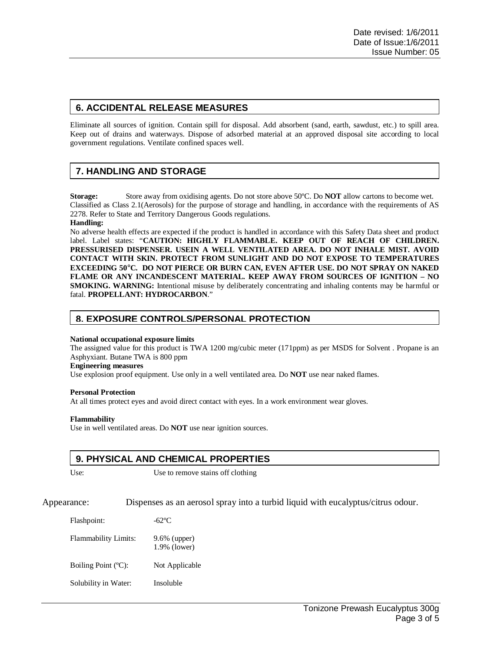### **6. ACCIDENTAL RELEASE MEASURES**

Eliminate all sources of ignition. Contain spill for disposal. Add absorbent (sand, earth, sawdust, etc.) to spill area. Keep out of drains and waterways. Dispose of adsorbed material at an approved disposal site according to local government regulations. Ventilate confined spaces well.

# **7. HANDLING AND STORAGE**

**Storage:** Store away from oxidising agents. Do not store above 50ºC. Do **NOT** allow cartons to become wet. Classified as Class 2.1(Aerosols) for the purpose of storage and handling, in accordance with the requirements of AS 2278. Refer to State and Territory Dangerous Goods regulations.

**Handling:**

No adverse health effects are expected if the product is handled in accordance with this Safety Data sheet and product label. Label states: "**CAUTION: HIGHLY FLAMMABLE. KEEP OUT OF REACH OF CHILDREN. PRESSURISED DISPENSER. USEIN A WELL VENTILATED AREA. DO NOT INHALE MIST. AVOID CONTACT WITH SKIN. PROTECT FROM SUNLIGHT AND DO NOT EXPOSE TO TEMPERATURES EXCEEDING 50**°**C. DO NOT PIERCE OR BURN CAN, EVEN AFTER USE. DO NOT SPRAY ON NAKED FLAME OR ANY INCANDESCENT MATERIAL. KEEP AWAY FROM SOURCES OF IGNITION – NO SMOKING. WARNING:** Intentional misuse by deliberately concentrating and inhaling contents may be harmful or fatal. **PROPELLANT: HYDROCARBON**."

### **8. EXPOSURE CONTROLS/PERSONAL PROTECTION**

#### **National occupational exposure limits**

The assigned value for this product is TWA 1200 mg/cubic meter (171ppm) as per MSDS for Solvent . Propane is an Asphyxiant. Butane TWA is 800 ppm

#### **Engineering measures**

Use explosion proof equipment. Use only in a well ventilated area. Do **NOT** use near naked flames.

### **Personal Protection**

At all times protect eyes and avoid direct contact with eyes. In a work environment wear gloves.

### **Flammability**

Use in well ventilated areas. Do **NOT** use near ignition sources.

### **9. PHYSICAL AND CHEMICAL PROPERTIES**

Use: Use to remove stains off clothing

Appearance: Dispenses as an aerosol spray into a turbid liquid with eucalyptus/citrus odour.

| Flashpoint:                 | -62°C                           |
|-----------------------------|---------------------------------|
| <b>Flammability Limits:</b> | $9.6\%$ (upper)<br>1.9% (lower) |
| Boiling Point (°C):         | Not Applicable                  |
| Solubility in Water:        | Insoluble                       |
|                             |                                 |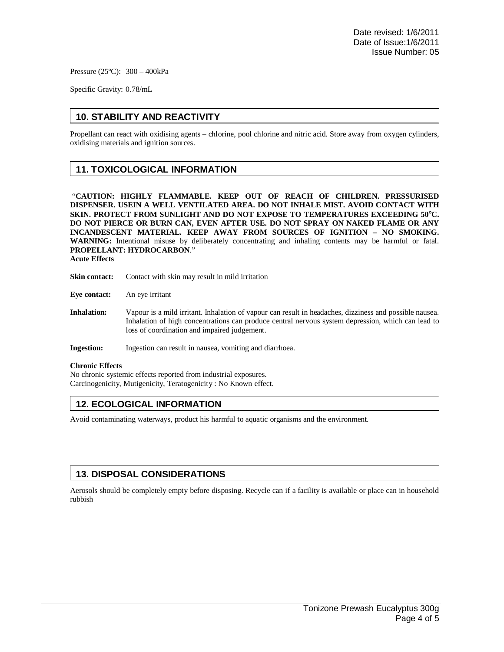Pressure (25ºC): 300 – 400kPa

Specific Gravity: 0.78/mL

# **10. STABILITY AND REACTIVITY**

Propellant can react with oxidising agents – chlorine, pool chlorine and nitric acid. Store away from oxygen cylinders, oxidising materials and ignition sources.

### **11. TOXICOLOGICAL INFORMATION**

 "**CAUTION: HIGHLY FLAMMABLE. KEEP OUT OF REACH OF CHILDREN. PRESSURISED DISPENSER. USEIN A WELL VENTILATED AREA. DO NOT INHALE MIST. AVOID CONTACT WITH SKIN. PROTECT FROM SUNLIGHT AND DO NOT EXPOSE TO TEMPERATURES EXCEEDING 50**°**C. DO NOT PIERCE OR BURN CAN, EVEN AFTER USE. DO NOT SPRAY ON NAKED FLAME OR ANY INCANDESCENT MATERIAL. KEEP AWAY FROM SOURCES OF IGNITION – NO SMOKING. WARNING:** Intentional misuse by deliberately concentrating and inhaling contents may be harmful or fatal. **PROPELLANT: HYDROCARBON**."

**Acute Effects**

- **Skin contact:** Contact with skin may result in mild irritation
- **Eye contact:** An eye irritant
- **Inhalation:** Vapour is a mild irritant. Inhalation of vapour can result in headaches, dizziness and possible nausea. Inhalation of high concentrations can produce central nervous system depression, which can lead to loss of coordination and impaired judgement.

**Ingestion:** Ingestion can result in nausea, vomiting and diarrhoea.

#### **Chronic Effects**

No chronic systemic effects reported from industrial exposures. Carcinogenicity, Mutigenicity, Teratogenicity : No Known effect.

### **12. ECOLOGICAL INFORMATION**

Avoid contaminating waterways, product his harmful to aquatic organisms and the environment.

### **13. DISPOSAL CONSIDERATIONS**

Aerosols should be completely empty before disposing. Recycle can if a facility is available or place can in household rubbish